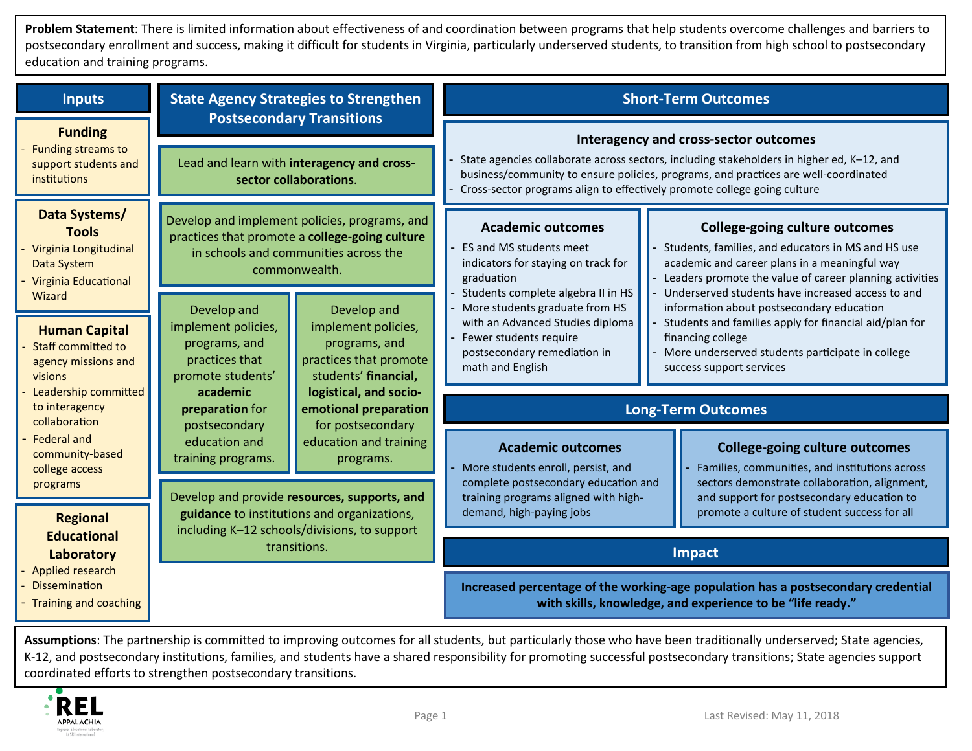**Problem Statement**: There is limited information about effectiveness of and coordination between programs that help students overcome challenges and barriers to postsecondary enrollment and success, making it difficult for students in Virginia, particularly underserved students, to transition from high school to postsecondary education and training programs.

| <b>Inputs</b>                                                                                                                                                                                                                                                                                                                                                             | <b>State Agency Strategies to Strengthen</b><br><b>Postsecondary Transitions</b>                                                                                                                                                                                               |                                                                                                                                                                                                                                                                                                                                                                                     | <b>Short-Term Outcomes</b>                                                                                                                                                                                                                                                                                                                                                                                                                                                                                                                                                                                                                                                                                                                                                     |  |
|---------------------------------------------------------------------------------------------------------------------------------------------------------------------------------------------------------------------------------------------------------------------------------------------------------------------------------------------------------------------------|--------------------------------------------------------------------------------------------------------------------------------------------------------------------------------------------------------------------------------------------------------------------------------|-------------------------------------------------------------------------------------------------------------------------------------------------------------------------------------------------------------------------------------------------------------------------------------------------------------------------------------------------------------------------------------|--------------------------------------------------------------------------------------------------------------------------------------------------------------------------------------------------------------------------------------------------------------------------------------------------------------------------------------------------------------------------------------------------------------------------------------------------------------------------------------------------------------------------------------------------------------------------------------------------------------------------------------------------------------------------------------------------------------------------------------------------------------------------------|--|
| <b>Funding</b><br><b>Funding streams to</b><br>support students and<br>institutions                                                                                                                                                                                                                                                                                       | Lead and learn with interagency and cross-<br>sector collaborations.                                                                                                                                                                                                           |                                                                                                                                                                                                                                                                                                                                                                                     | Interagency and cross-sector outcomes<br>State agencies collaborate across sectors, including stakeholders in higher ed, K-12, and<br>business/community to ensure policies, programs, and practices are well-coordinated<br>Cross-sector programs align to effectively promote college going culture                                                                                                                                                                                                                                                                                                                                                                                                                                                                          |  |
| Data Systems/<br><b>Tools</b><br>Virginia Longitudinal<br>Data System<br><b>Virginia Educational</b>                                                                                                                                                                                                                                                                      |                                                                                                                                                                                                                                                                                | Develop and implement policies, programs, and<br>practices that promote a college-going culture<br>in schools and communities across the<br>commonwealth.<br>Develop and<br>Develop and<br>implement policies,<br>programs, and<br>programs, and<br>practices that promote<br>practices that<br>students' financial,<br>academic<br>logistical, and socio-<br>emotional preparation | <b>Academic outcomes</b><br><b>College-going culture outcomes</b><br>ES and MS students meet<br>Students, families, and educators in MS and HS use<br>academic and career plans in a meaningful way<br>indicators for staying on track for<br>Leaders promote the value of career planning activities<br>graduation<br>Students complete algebra II in HS<br>Underserved students have increased access to and<br>More students graduate from HS<br>information about postsecondary education<br>with an Advanced Studies diploma<br>Students and families apply for financial aid/plan for<br>Fewer students require<br>financing college<br>More underserved students participate in college<br>postsecondary remediation in<br>math and English<br>success support services |  |
| Wizard<br><b>Human Capital</b><br><b>Staff committed to</b><br>agency missions and<br>visions<br>Leadership committed<br>to interagency<br>collaboration<br><b>Federal and</b><br>community-based<br>college access<br>programs<br><b>Regional</b><br><b>Educational</b><br>Laboratory<br><b>Applied research</b><br><b>Dissemination</b><br><b>Training and coaching</b> | implement policies,<br>promote students'<br>preparation for<br>postsecondary<br>for postsecondary<br>education and<br>education and training<br>training programs.<br>programs.<br>Develop and provide resources, supports, and<br>guidance to institutions and organizations, |                                                                                                                                                                                                                                                                                                                                                                                     |                                                                                                                                                                                                                                                                                                                                                                                                                                                                                                                                                                                                                                                                                                                                                                                |  |
|                                                                                                                                                                                                                                                                                                                                                                           |                                                                                                                                                                                                                                                                                |                                                                                                                                                                                                                                                                                                                                                                                     | <b>Long-Term Outcomes</b>                                                                                                                                                                                                                                                                                                                                                                                                                                                                                                                                                                                                                                                                                                                                                      |  |
|                                                                                                                                                                                                                                                                                                                                                                           |                                                                                                                                                                                                                                                                                | <b>Academic outcomes</b><br>More students enroll, persist, and<br>complete postsecondary education and<br>training programs aligned with high-<br>demand, high-paying jobs                                                                                                                                                                                                          | <b>College-going culture outcomes</b><br>Families, communities, and institutions across<br>sectors demonstrate collaboration, alignment,<br>and support for postsecondary education to<br>promote a culture of student success for all                                                                                                                                                                                                                                                                                                                                                                                                                                                                                                                                         |  |
|                                                                                                                                                                                                                                                                                                                                                                           | including K-12 schools/divisions, to support<br>transitions.                                                                                                                                                                                                                   |                                                                                                                                                                                                                                                                                                                                                                                     | <b>Impact</b>                                                                                                                                                                                                                                                                                                                                                                                                                                                                                                                                                                                                                                                                                                                                                                  |  |
|                                                                                                                                                                                                                                                                                                                                                                           |                                                                                                                                                                                                                                                                                |                                                                                                                                                                                                                                                                                                                                                                                     | Increased percentage of the working-age population has a postsecondary credential<br>with skills, knowledge, and experience to be "life ready."                                                                                                                                                                                                                                                                                                                                                                                                                                                                                                                                                                                                                                |  |

coordinated efforts to strengthen postsecondary transitions. **Assumptions**: The partnership is committed to improving outcomes for all students, but particularly those who have been traditionally underserved; State agencies, K-12, and postsecondary institutions, families, and students have a shared responsibility for promoting successful postsecondary transitions; State agencies support coordinated efforts to strengthen postsecondary transitions.<br>
Page 1 Last Revised: May 11, 2018<br>
Page 1 Last Revised: May 11, 2018

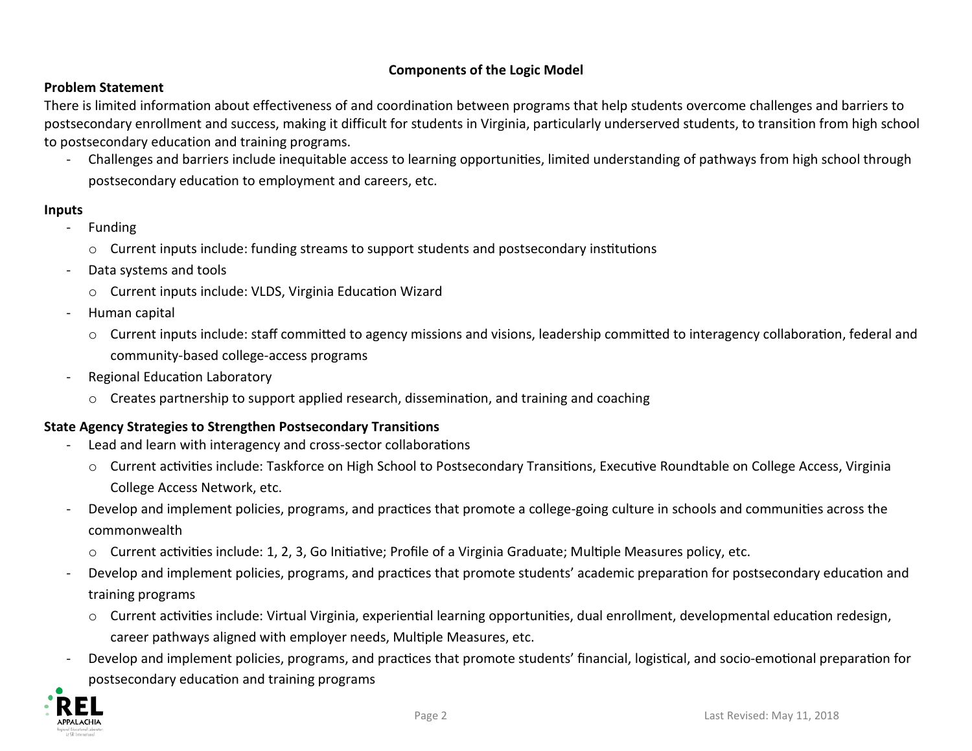### **Components of the Logic Model**

#### **Problem Statement**

 There is limited information about effectiveness of and coordination between programs that help students overcome challenges and barriers to postsecondary enrollment and success, making it difficult for students in Virginia, particularly underserved students, to transition from high school to postsecondary education and training programs.

 - Challenges and barriers include inequitable access to learning opportunities, limited understanding of pathways from high school through postsecondary education to employment and careers, etc.

#### **Inputs**

- **Funding** 
	- o Current inputs include: funding streams to support students and postsecondary institutions
- Data systems and tools
	- o Current inputs include: VLDS, Virginia Education Wizard
- Human capital
	- o Current inputs include: staff committed to agency missions and visions, leadership committed to interagency collaboration, federal and community-based college-access programs
- - Regional Education Laboratory
	- o Creates partnership to support applied research, dissemination, and training and coaching

# **State Agency Strategies to Strengthen Postsecondary Transitions**

- Lead and learn with interagency and cross-sector collaborations
	- o Current activities include: Taskforce on High School to Postsecondary Transitions, Executive Roundtable on College Access, Virginia College Access Network, etc.
- - Develop and implement policies, programs, and practices that promote a college-going culture in schools and communities across the commonwealth
	- o Current activities include: 1, 2, 3, Go Initiative; Profile of a Virginia Graduate; Multiple Measures policy, etc.
- - Develop and implement policies, programs, and practices that promote students' academic preparation for postsecondary education and training programs
	- o Current activities include: Virtual Virginia, experiential learning opportunities, dual enrollment, developmental education redesign, career pathways aligned with employer needs, Multiple Measures, etc.
- - Develop and implement policies, programs, and practices that promote students' financial, logistical, and socio-emotional preparation for postsecondary education and training programs

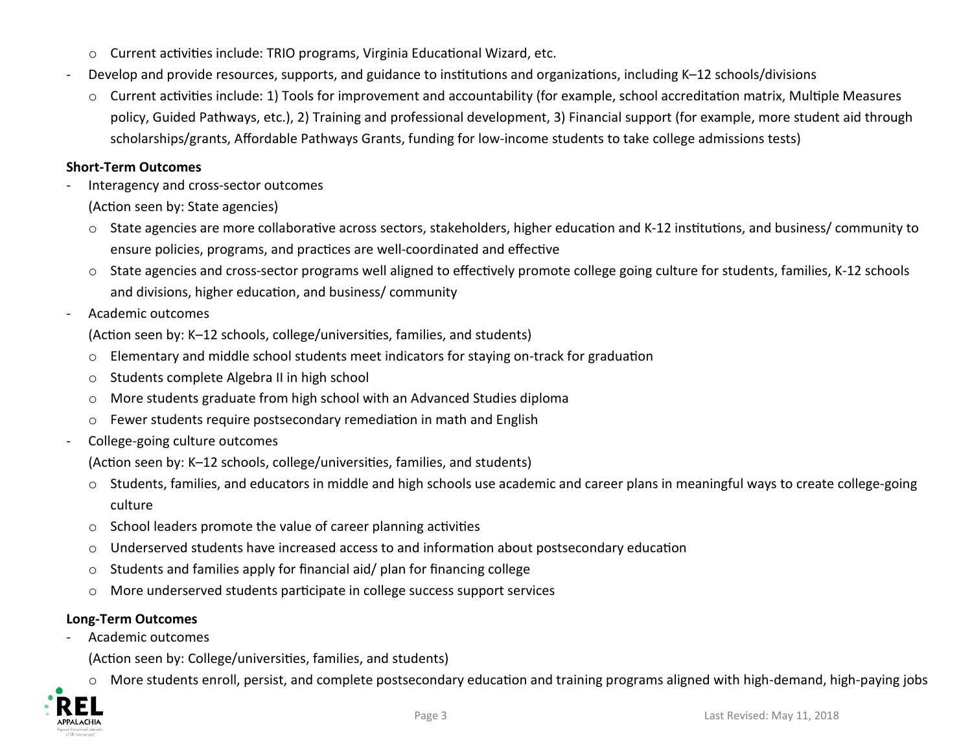- o Current activities include: TRIO programs, Virginia Educational Wizard, etc.
- Develop and provide resources, supports, and guidance to institutions and organizations, including K-12 schools/divisions
	- o Current activities include: 1) Tools for improvement and accountability (for example, school accreditation matrix, Multiple Measures policy, Guided Pathways, etc.), 2) Training and professional development, 3) Financial support (for example, more student aid through scholarships/grants, Affordable Pathways Grants, funding for low-income students to take college admissions tests)

### **Short-Term Outcomes**

- Interagency and cross-sector outcomes
	- (Action seen by: State agencies)
	- State agencies are more collaborative across sectors, stakeholders, higher education and K-12 institutions, and business/ community to ensure policies, programs, and practices are well-coordinated and effective
	- State agencies and cross-sector programs well aligned to effectively promote college going culture for students, families, K-12 schools and divisions, higher education, and business/ community
- Academic outcomes
	- (Action seen by: K-12 schools, college/universities, families, and students)
	- o Elementary and middle school students meet indicators for staying on-track for graduation
	- o Students complete Algebra II in high school
	- o More students graduate from high school with an Advanced Studies diploma
	- o Fewer students require postsecondary remediation in math and English
- College-going culture outcomes
	- (Action seen by: K-12 schools, college/universities, families, and students)
	- o Students, families, and educators in middle and high schools use academic and career plans in meaningful ways to create college-going culture
	- School leaders promote the value of career planning activities
	- Underserved students have increased access to and information about postsecondary education  $\circ$
	- Students and families apply for financial aid/ plan for financing college  $\circ$
	- More underserved students participate in college success support services  $\circ$

# **Long-Term Outcomes**

Academic outcomes

(Action seen by: College/universities, families, and students)

More students enroll, persist, and complete postsecondary education and training programs aligned with high-demand, high-paying jobs